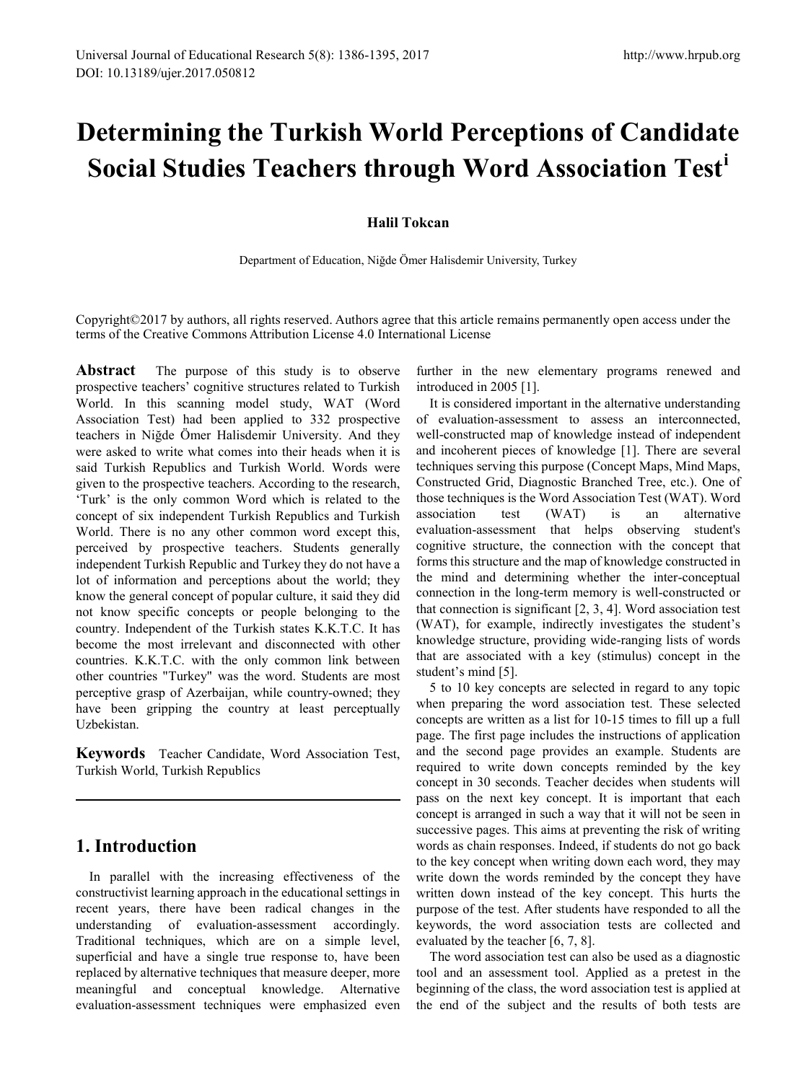# **Determining the Turkish World Perceptions of Candidate Social Studies Teachers through Word Association Test[i](#page-9-0)**

#### **Halil Tokcan**

Department of Education, Niğde Ömer Halisdemir University, Turkey

Copyright©2017 by authors, all rights reserved. Authors agree that this article remains permanently open access under the terms of the Creative Commons Attribution License 4.0 International License

**Abstract** The purpose of this study is to observe prospective teachers' cognitive structures related to Turkish World. In this scanning model study, WAT (Word Association Test) had been applied to 332 prospective teachers in Niğde Ömer Halisdemir University. And they were asked to write what comes into their heads when it is said Turkish Republics and Turkish World. Words were given to the prospective teachers. According to the research, 'Turk' is the only common Word which is related to the concept of six independent Turkish Republics and Turkish World. There is no any other common word except this, perceived by prospective teachers. Students generally independent Turkish Republic and Turkey they do not have a lot of information and perceptions about the world; they know the general concept of popular culture, it said they did not know specific concepts or people belonging to the country. Independent of the Turkish states K.K.T.C. It has become the most irrelevant and disconnected with other countries. K.K.T.C. with the only common link between other countries "Turkey" was the word. Students are most perceptive grasp of Azerbaijan, while country-owned; they have been gripping the country at least perceptually Uzbekistan.

**Keywords** Teacher Candidate, Word Association Test, Turkish World, Turkish Republics

# **1. Introduction**

In parallel with the increasing effectiveness of the constructivist learning approach in the educational settings in recent years, there have been radical changes in the understanding of evaluation-assessment accordingly. Traditional techniques, which are on a simple level, superficial and have a single true response to, have been replaced by alternative techniques that measure deeper, more meaningful and conceptual knowledge. Alternative evaluation-assessment techniques were emphasized even

further in the new elementary programs renewed and introduced in 2005 [1].

It is considered important in the alternative understanding of evaluation-assessment to assess an interconnected, well-constructed map of knowledge instead of independent and incoherent pieces of knowledge [1]. There are several techniques serving this purpose (Concept Maps, Mind Maps, Constructed Grid, Diagnostic Branched Tree, etc.). One of those techniques is the Word Association Test (WAT). Word association test (WAT) is an alternative evaluation-assessment that helps observing student's cognitive structure, the connection with the concept that forms this structure and the map of knowledge constructed in the mind and determining whether the inter-conceptual connection in the long-term memory is well-constructed or that connection is significant [2, 3, 4]. Word association test (WAT), for example, indirectly investigates the student's knowledge structure, providing wide-ranging lists of words that are associated with a key (stimulus) concept in the student's mind [5].

5 to 10 key concepts are selected in regard to any topic when preparing the word association test. These selected concepts are written as a list for 10-15 times to fill up a full page. The first page includes the instructions of application and the second page provides an example. Students are required to write down concepts reminded by the key concept in 30 seconds. Teacher decides when students will pass on the next key concept. It is important that each concept is arranged in such a way that it will not be seen in successive pages. This aims at preventing the risk of writing words as chain responses. Indeed, if students do not go back to the key concept when writing down each word, they may write down the words reminded by the concept they have written down instead of the key concept. This hurts the purpose of the test. After students have responded to all the keywords, the word association tests are collected and evaluated by the teacher [6, 7, 8].

The word association test can also be used as a diagnostic tool and an assessment tool. Applied as a pretest in the beginning of the class, the word association test is applied at the end of the subject and the results of both tests are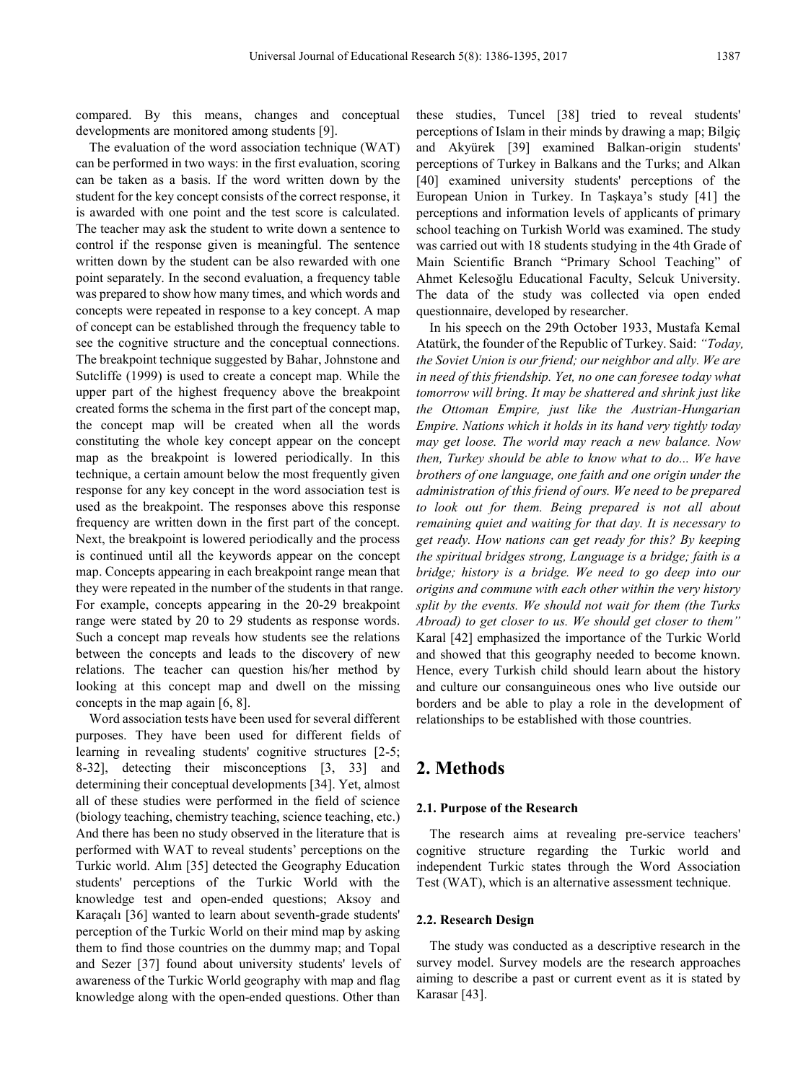compared. By this means, changes and conceptual developments are monitored among students [9].

The evaluation of the word association technique (WAT) can be performed in two ways: in the first evaluation, scoring can be taken as a basis. If the word written down by the student for the key concept consists of the correct response, it is awarded with one point and the test score is calculated. The teacher may ask the student to write down a sentence to control if the response given is meaningful. The sentence written down by the student can be also rewarded with one point separately. In the second evaluation, a frequency table was prepared to show how many times, and which words and concepts were repeated in response to a key concept. A map of concept can be established through the frequency table to see the cognitive structure and the conceptual connections. The breakpoint technique suggested by Bahar, Johnstone and Sutcliffe (1999) is used to create a concept map. While the upper part of the highest frequency above the breakpoint created forms the schema in the first part of the concept map, the concept map will be created when all the words constituting the whole key concept appear on the concept map as the breakpoint is lowered periodically. In this technique, a certain amount below the most frequently given response for any key concept in the word association test is used as the breakpoint. The responses above this response frequency are written down in the first part of the concept. Next, the breakpoint is lowered periodically and the process is continued until all the keywords appear on the concept map. Concepts appearing in each breakpoint range mean that they were repeated in the number of the students in that range. For example, concepts appearing in the 20-29 breakpoint range were stated by 20 to 29 students as response words. Such a concept map reveals how students see the relations between the concepts and leads to the discovery of new relations. The teacher can question his/her method by looking at this concept map and dwell on the missing concepts in the map again [6, 8].

Word association tests have been used for several different purposes. They have been used for different fields of learning in revealing students' cognitive structures [2-5; 8-32], detecting their misconceptions [3, 33] and determining their conceptual developments [34]. Yet, almost all of these studies were performed in the field of science (biology teaching, chemistry teaching, science teaching, etc.) And there has been no study observed in the literature that is performed with WAT to reveal students' perceptions on the Turkic world. Alım [35] detected the Geography Education students' perceptions of the Turkic World with the knowledge test and open-ended questions; Aksoy and Karaçalı [36] wanted to learn about seventh-grade students' perception of the Turkic World on their mind map by asking them to find those countries on the dummy map; and Topal and Sezer [37] found about university students' levels of awareness of the Turkic World geography with map and flag knowledge along with the open-ended questions. Other than these studies, Tuncel [38] tried to reveal students' perceptions of Islam in their minds by drawing a map; Bilgiç and Akyürek [39] examined Balkan-origin students' perceptions of Turkey in Balkans and the Turks; and Alkan [40] examined university students' perceptions of the European Union in Turkey. In Taşkaya's study [41] the perceptions and information levels of applicants of primary school teaching on Turkish World was examined. The study was carried out with 18 students studying in the 4th Grade of Main Scientific Branch "Primary School Teaching" of Ahmet Kelesoğlu Educational Faculty, Selcuk University. The data of the study was collected via open ended questionnaire, developed by researcher.

In his speech on the 29th October 1933, Mustafa Kemal Atatürk, the founder of the Republic of Turkey. Said: *"Today, the Soviet Union is our friend; our neighbor and ally. We are in need of this friendship. Yet, no one can foresee today what tomorrow will bring. It may be shattered and shrink just like the Ottoman Empire, just like the Austrian-Hungarian Empire. Nations which it holds in its hand very tightly today may get loose. The world may reach a new balance. Now then, Turkey should be able to know what to do... We have brothers of one language, one faith and one origin under the administration of this friend of ours. We need to be prepared to look out for them. Being prepared is not all about remaining quiet and waiting for that day. It is necessary to get ready. How nations can get ready for this? By keeping the spiritual bridges strong, Language is a bridge; faith is a bridge; history is a bridge. We need to go deep into our origins and commune with each other within the very history split by the events. We should not wait for them (the Turks Abroad) to get closer to us. We should get closer to them"* Karal [42] emphasized the importance of the Turkic World and showed that this geography needed to become known. Hence, every Turkish child should learn about the history and culture our consanguineous ones who live outside our borders and be able to play a role in the development of relationships to be established with those countries.

## **2. Methods**

#### **2.1. Purpose of the Research**

The research aims at revealing pre-service teachers' cognitive structure regarding the Turkic world and independent Turkic states through the Word Association Test (WAT), which is an alternative assessment technique.

#### **2.2. Research Design**

The study was conducted as a descriptive research in the survey model. Survey models are the research approaches aiming to describe a past or current event as it is stated by Karasar [43].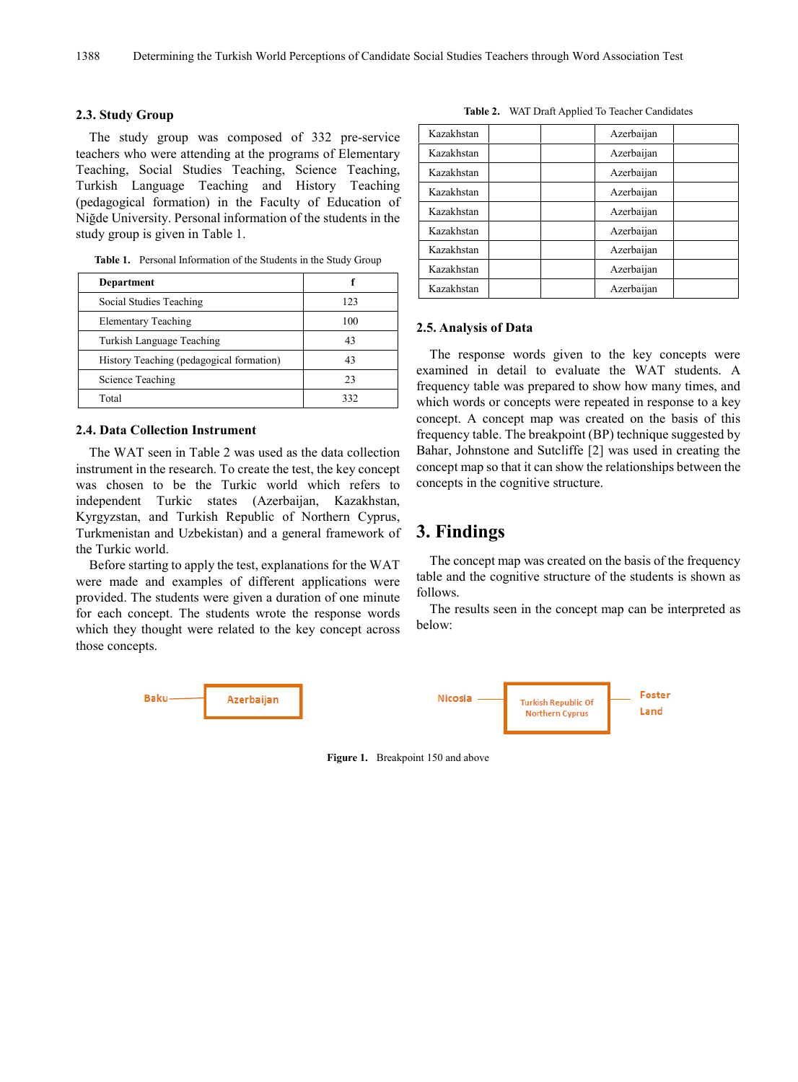#### **2.3. Study Group**

The study group was composed of 332 pre-service teachers who were attending at the programs of Elementary Teaching, Social Studies Teaching, Science Teaching, Turkish Language Teaching and History Teaching (pedagogical formation) in the Faculty of Education of Niğde University. Personal information of the students in the study group is given in Table 1.

**Table 1.** Personal Information of the Students in the Study Group

| <b>Department</b>                        |     |
|------------------------------------------|-----|
| Social Studies Teaching                  | 123 |
| <b>Elementary Teaching</b>               | 100 |
| Turkish Language Teaching                | 43  |
| History Teaching (pedagogical formation) | 43  |
| Science Teaching                         | 23  |
| Total                                    | 332 |

#### **2.4. Data Collection Instrument**

The WAT seen in Table 2 was used as the data collection instrument in the research. To create the test, the key concept was chosen to be the Turkic world which refers to independent Turkic states (Azerbaijan, Kazakhstan, Kyrgyzstan, and Turkish Republic of Northern Cyprus, Turkmenistan and Uzbekistan) and a general framework of the Turkic world.

Before starting to apply the test, explanations for the WAT were made and examples of different applications were provided. The students were given a duration of one minute for each concept. The students wrote the response words which they thought were related to the key concept across those concepts.



**Figure 1.** Breakpoint 150 and above

|  | Table 2. WAT Draft Applied To Teacher Candidates |  |  |  |
|--|--------------------------------------------------|--|--|--|
|--|--------------------------------------------------|--|--|--|

| Kazakhstan |  | Azerbaijan |  |
|------------|--|------------|--|
| Kazakhstan |  | Azerbaijan |  |
| Kazakhstan |  | Azerbaijan |  |
| Kazakhstan |  | Azerbaijan |  |
| Kazakhstan |  | Azerbaijan |  |
| Kazakhstan |  | Azerbaijan |  |
| Kazakhstan |  | Azerbaijan |  |
| Kazakhstan |  | Azerbaijan |  |
| Kazakhstan |  | Azerbaijan |  |

#### **2.5. Analysis of Data**

The response words given to the key concepts were examined in detail to evaluate the WAT students. A frequency table was prepared to show how many times, and which words or concepts were repeated in response to a key concept. A concept map was created on the basis of this frequency table. The breakpoint (BP) technique suggested by Bahar, Johnstone and Sutcliffe [2] was used in creating the concept map so that it can show the relationships between the concepts in the cognitive structure.

## **3. Findings**

The concept map was created on the basis of the frequency table and the cognitive structure of the students is shown as follows.

The results seen in the concept map can be interpreted as below: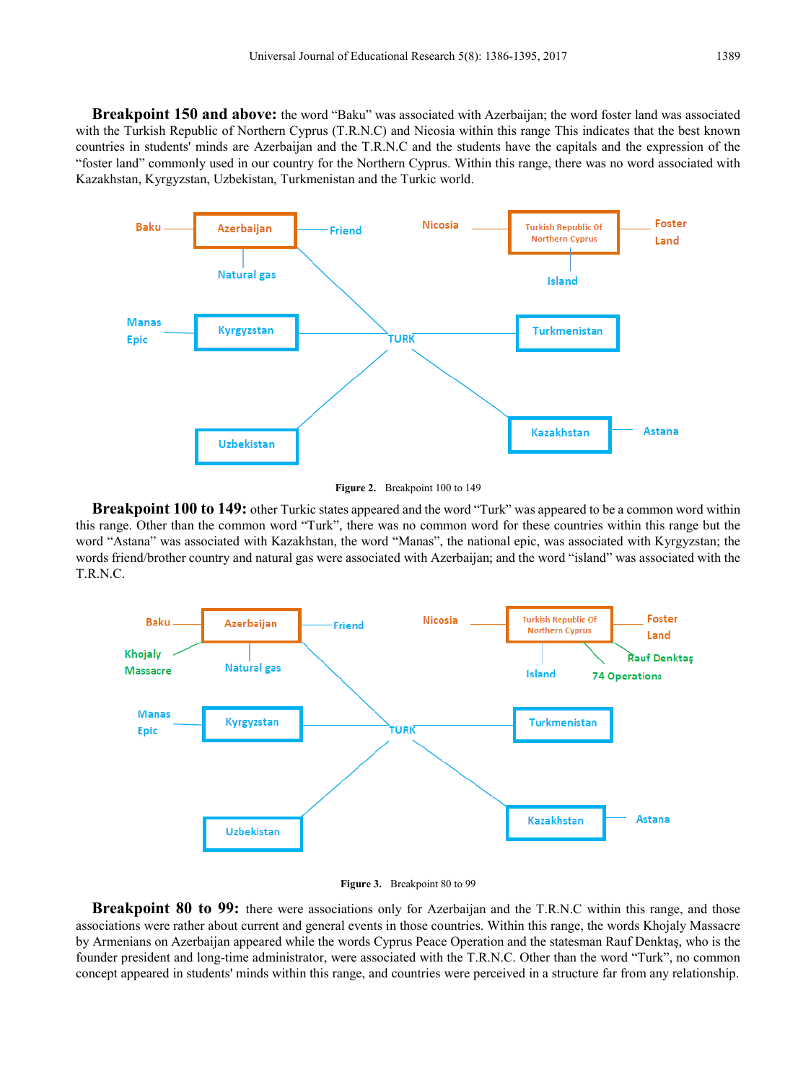**Breakpoint 150 and above:** the word "Baku" was associated with Azerbaijan; the word foster land was associated with the Turkish Republic of Northern Cyprus (T.R.N.C) and Nicosia within this range This indicates that the best known countries in students' minds are Azerbaijan and the T.R.N.C and the students have the capitals and the expression of the "foster land" commonly used in our country for the Northern Cyprus. Within this range, there was no word associated with Kazakhstan, Kyrgyzstan, Uzbekistan, Turkmenistan and the Turkic world.



**Figure 2.** Breakpoint 100 to 149

**Breakpoint 100 to 149:** other Turkic states appeared and the word "Turk" was appeared to be a common word within this range. Other than the common word "Turk", there was no common word for these countries within this range but the word "Astana" was associated with Kazakhstan, the word "Manas", the national epic, was associated with Kyrgyzstan; the words friend/brother country and natural gas were associated with Azerbaijan; and the word "island" was associated with the T.R.N.C.



**Figure 3.** Breakpoint 80 to 99

**Breakpoint 80 to 99:** there were associations only for Azerbaijan and the T.R.N.C within this range, and those associations were rather about current and general events in those countries. Within this range, the words Khojaly Massacre by Armenians on Azerbaijan appeared while the words Cyprus Peace Operation and the statesman Rauf Denktaş, who is the founder president and long-time administrator, were associated with the T.R.N.C. Other than the word "Turk", no common concept appeared in students' minds within this range, and countries were perceived in a structure far from any relationship.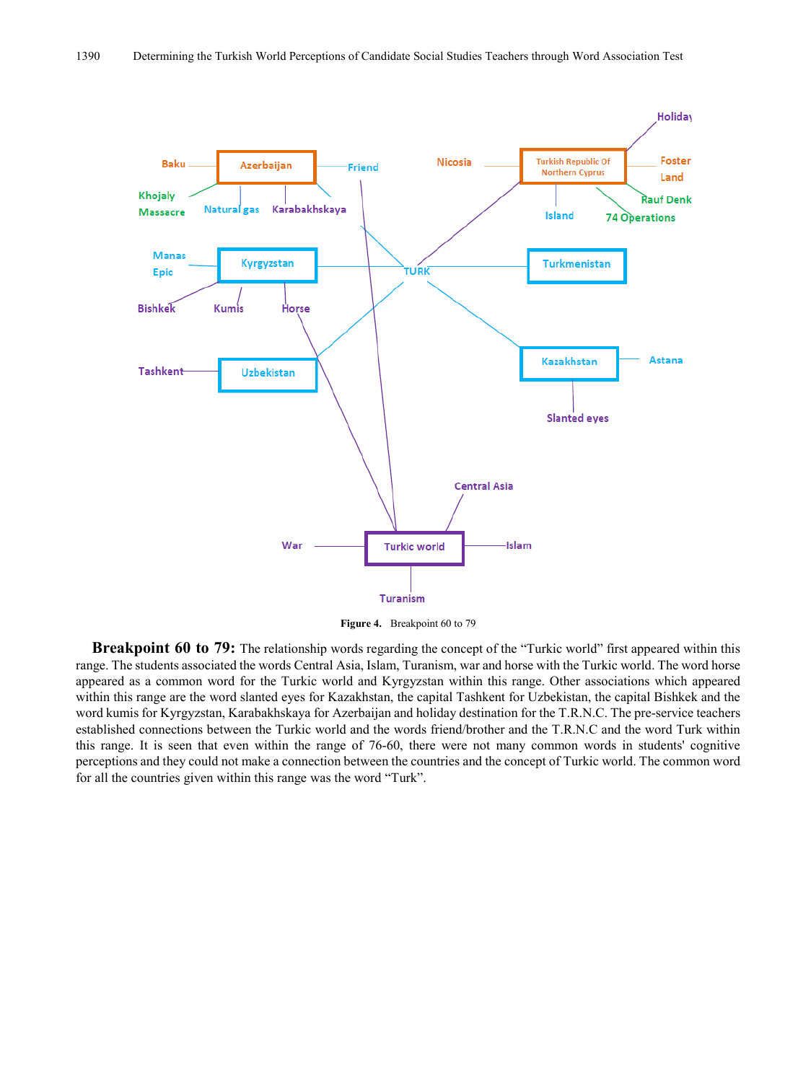

**Figure 4.** Breakpoint 60 to 79

**Breakpoint 60 to 79:** The relationship words regarding the concept of the "Turkic world" first appeared within this range. The students associated the words Central Asia, Islam, Turanism, war and horse with the Turkic world. The word horse appeared as a common word for the Turkic world and Kyrgyzstan within this range. Other associations which appeared within this range are the word slanted eyes for Kazakhstan, the capital Tashkent for Uzbekistan, the capital Bishkek and the word kumis for Kyrgyzstan, Karabakhskaya for Azerbaijan and holiday destination for the T.R.N.C. The pre-service teachers established connections between the Turkic world and the words friend/brother and the T.R.N.C and the word Turk within this range. It is seen that even within the range of 76-60, there were not many common words in students' cognitive perceptions and they could not make a connection between the countries and the concept of Turkic world. The common word for all the countries given within this range was the word "Turk".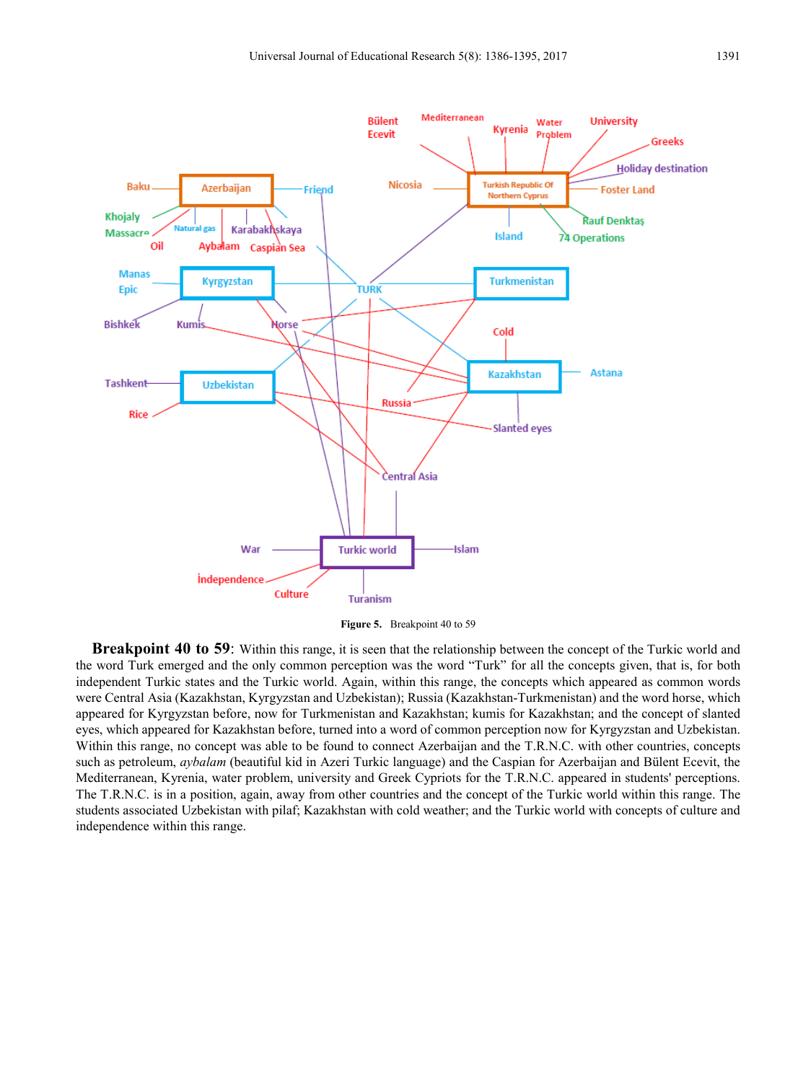

**Figure 5.** Breakpoint 40 to 59

**Breakpoint 40 to 59**: Within this range, it is seen that the relationship between the concept of the Turkic world and the word Turk emerged and the only common perception was the word "Turk" for all the concepts given, that is, for both independent Turkic states and the Turkic world. Again, within this range, the concepts which appeared as common words were Central Asia (Kazakhstan, Kyrgyzstan and Uzbekistan); Russia (Kazakhstan-Turkmenistan) and the word horse, which appeared for Kyrgyzstan before, now for Turkmenistan and Kazakhstan; kumis for Kazakhstan; and the concept of slanted eyes, which appeared for Kazakhstan before, turned into a word of common perception now for Kyrgyzstan and Uzbekistan. Within this range, no concept was able to be found to connect Azerbaijan and the T.R.N.C. with other countries, concepts such as petroleum, *aybalam* (beautiful kid in Azeri Turkic language) and the Caspian for Azerbaijan and Bülent Ecevit, the Mediterranean, Kyrenia, water problem, university and Greek Cypriots for the T.R.N.C. appeared in students' perceptions. The T.R.N.C. is in a position, again, away from other countries and the concept of the Turkic world within this range. The students associated Uzbekistan with pilaf; Kazakhstan with cold weather; and the Turkic world with concepts of culture and independence within this range.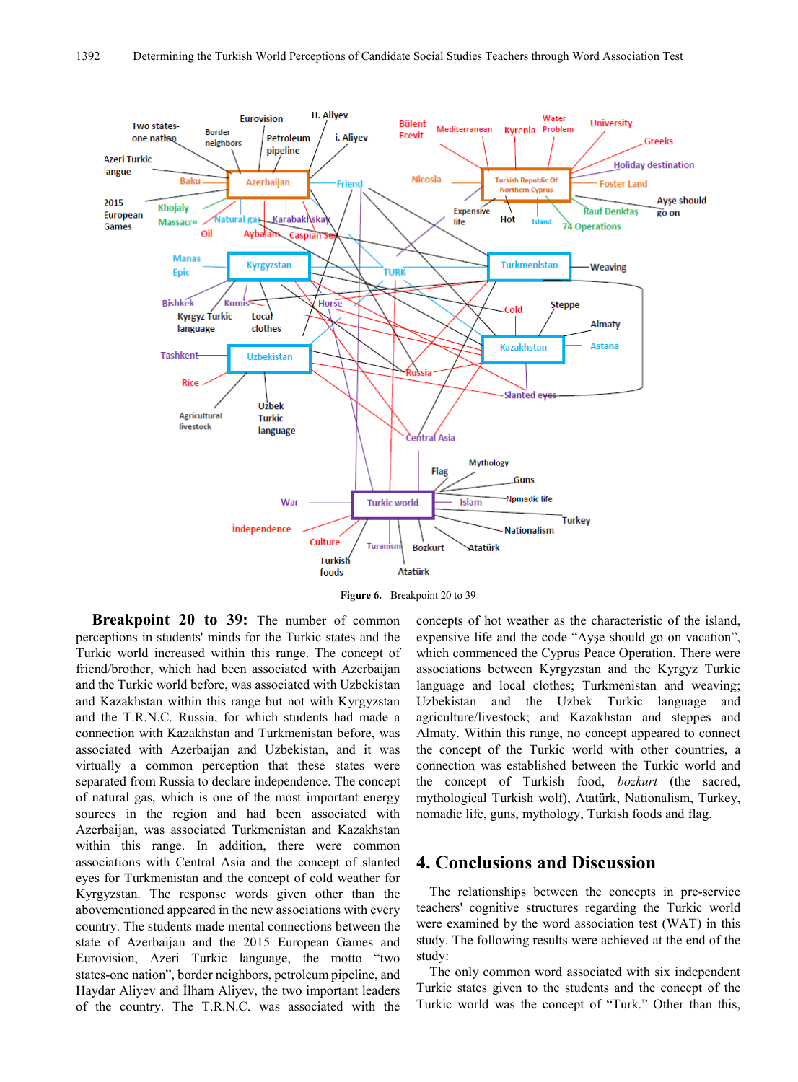

**Figure 6.** Breakpoint 20 to 39

**Breakpoint 20 to 39:** The number of common perceptions in students' minds for the Turkic states and the Turkic world increased within this range. The concept of friend/brother, which had been associated with Azerbaijan and the Turkic world before, was associated with Uzbekistan and Kazakhstan within this range but not with Kyrgyzstan and the T.R.N.C. Russia, for which students had made a connection with Kazakhstan and Turkmenistan before, was associated with Azerbaijan and Uzbekistan, and it was virtually a common perception that these states were separated from Russia to declare independence. The concept of natural gas, which is one of the most important energy sources in the region and had been associated with Azerbaijan, was associated Turkmenistan and Kazakhstan within this range. In addition, there were common associations with Central Asia and the concept of slanted eyes for Turkmenistan and the concept of cold weather for Kyrgyzstan. The response words given other than the abovementioned appeared in the new associations with every country. The students made mental connections between the state of Azerbaijan and the 2015 European Games and Eurovision, Azeri Turkic language, the motto "two states-one nation", border neighbors, petroleum pipeline, and Haydar Aliyev and İlham Aliyev, the two important leaders of the country. The T.R.N.C. was associated with the

concepts of hot weather as the characteristic of the island, expensive life and the code "Ayşe should go on vacation", which commenced the Cyprus Peace Operation. There were associations between Kyrgyzstan and the Kyrgyz Turkic language and local clothes; Turkmenistan and weaving; Uzbekistan and the Uzbek Turkic language and agriculture/livestock; and Kazakhstan and steppes and Almaty. Within this range, no concept appeared to connect the concept of the Turkic world with other countries, a connection was established between the Turkic world and the concept of Turkish food, *bozkurt* (the sacred, mythological Turkish wolf), Atatürk, Nationalism, Turkey, nomadic life, guns, mythology, Turkish foods and flag.

### **4. Conclusions and Discussion**

The relationships between the concepts in pre-service teachers' cognitive structures regarding the Turkic world were examined by the word association test (WAT) in this study. The following results were achieved at the end of the study:

The only common word associated with six independent Turkic states given to the students and the concept of the Turkic world was the concept of "Turk." Other than this,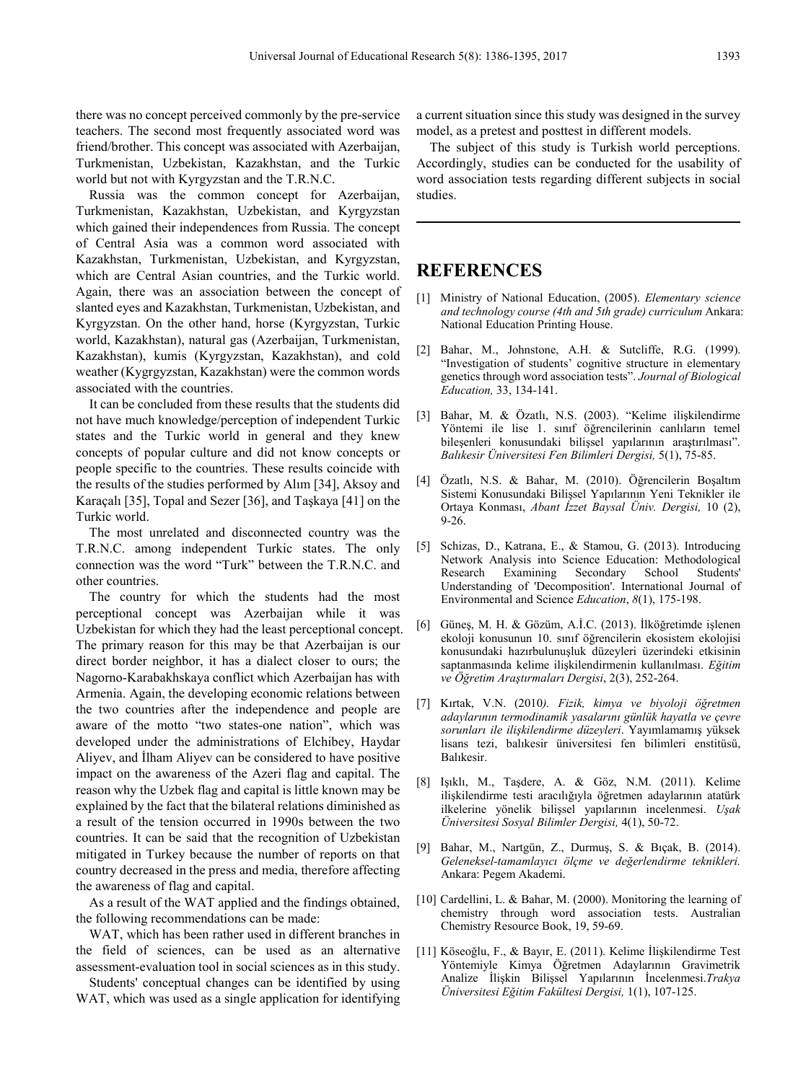there was no concept perceived commonly by the pre-service teachers. The second most frequently associated word was friend/brother. This concept was associated with Azerbaijan, Turkmenistan, Uzbekistan, Kazakhstan, and the Turkic world but not with Kyrgyzstan and the T.R.N.C.

Russia was the common concept for Azerbaijan, Turkmenistan, Kazakhstan, Uzbekistan, and Kyrgyzstan which gained their independences from Russia. The concept of Central Asia was a common word associated with Kazakhstan, Turkmenistan, Uzbekistan, and Kyrgyzstan, which are Central Asian countries, and the Turkic world. Again, there was an association between the concept of slanted eyes and Kazakhstan, Turkmenistan, Uzbekistan, and Kyrgyzstan. On the other hand, horse (Kyrgyzstan, Turkic world, Kazakhstan), natural gas (Azerbaijan, Turkmenistan, Kazakhstan), kumis (Kyrgyzstan, Kazakhstan), and cold weather (Kygrgyzstan, Kazakhstan) were the common words associated with the countries.

It can be concluded from these results that the students did not have much knowledge/perception of independent Turkic states and the Turkic world in general and they knew concepts of popular culture and did not know concepts or people specific to the countries. These results coincide with the results of the studies performed by Alım [34], Aksoy and Karaçalı [35], Topal and Sezer [36], and Taşkaya [41] on the Turkic world.

The most unrelated and disconnected country was the T.R.N.C. among independent Turkic states. The only connection was the word "Turk" between the T.R.N.C. and other countries.

The country for which the students had the most perceptional concept was Azerbaijan while it was Uzbekistan for which they had the least perceptional concept. The primary reason for this may be that Azerbaijan is our direct border neighbor, it has a dialect closer to ours; the Nagorno-Karabakhskaya conflict which Azerbaijan has with Armenia. Again, the developing economic relations between the two countries after the independence and people are aware of the motto "two states-one nation", which was developed under the administrations of Elchibey, Haydar Aliyev, and İlham Aliyev can be considered to have positive impact on the awareness of the Azeri flag and capital. The reason why the Uzbek flag and capital is little known may be explained by the fact that the bilateral relations diminished as a result of the tension occurred in 1990s between the two countries. It can be said that the recognition of Uzbekistan mitigated in Turkey because the number of reports on that country decreased in the press and media, therefore affecting the awareness of flag and capital.

As a result of the WAT applied and the findings obtained, the following recommendations can be made:

WAT, which has been rather used in different branches in the field of sciences, can be used as an alternative assessment-evaluation tool in social sciences as in this study.

Students' conceptual changes can be identified by using WAT, which was used as a single application for identifying a current situation since this study was designed in the survey model, as a pretest and posttest in different models.

The subject of this study is Turkish world perceptions. Accordingly, studies can be conducted for the usability of word association tests regarding different subjects in social studies.

# **REFERENCES**

- [1] Ministry of National Education, (2005). *Elementary science and technology course (4th and 5th grade) curriculum* Ankara: National Education Printing House.
- [2] Bahar, M., Johnstone, A.H. & Sutcliffe, R.G. (1999). "Investigation of students' cognitive structure in elementary genetics through word association tests". *Journal of Biological Education,* 33, 134-141.
- [3] Bahar, M. & Özatlı, N.S. (2003). "Kelime ilişkilendirme Yöntemi ile lise 1. sınıf öğrencilerinin canlıların temel bileşenleri konusundaki bilişsel yapılarının araştırılması". *Balıkesir Üniversitesi Fen Bilimleri Dergisi,* 5(1), 75-85.
- [4] Özatlı, N.S. & Bahar, M. (2010). Öğrencilerin Boşaltım Sistemi Konusundaki Bilişsel Yapılarının Yeni Teknikler ile Ortaya Konması, *Abant İzzet Baysal Üniv. Dergisi,* 10 (2), 9-26.
- [5] Schizas, D., Katrana, E., & Stamou, G. (2013). Introducing Network Analysis into Science Education: Methodological Research Examining Secondary School Students' Understanding of 'Decomposition'. International Journal of Environmental and Science *Education*, *8*(1), 175-198.
- [6] Güneş, M. H. & Gözüm, A.İ.C. (2013). İlköğretimde işlenen ekoloji konusunun 10. sınıf öğrencilerin ekosistem ekolojisi konusundaki hazırbulunuşluk düzeyleri üzerindeki etkisinin saptanmasında kelime ilişkilendirmenin kullanılması. *Eğitim ve Öğretim Araştırmaları Dergisi*, 2(3), 252-264.
- [7] Kırtak, V.N. (2010*). Fizik, kimya ve biyoloji öğretmen adaylarının termodinamik yasalarını günlük hayatla ve çevre sorunları ile ilişkilendirme düzeyleri*. Yayımlamamış yüksek lisans tezi, balıkesir üniversitesi fen bilimleri enstitüsü, Balıkesir.
- [8] Işıklı, M., Taşdere, A. & Göz, N.M. (2011). Kelime ilişkilendirme testi aracılığıyla öğretmen adaylarının atatürk ilkelerine yönelik bilişsel yapılarının incelenmesi. *Uşak Üniversitesi Sosyal Bilimler Dergisi,* 4(1), 50-72.
- [9] Bahar, M., Nartgün, Z., Durmuş, S. & Bıçak, B. (2014). *Geleneksel-tamamlayıcı ölçme ve değerlendirme teknikleri.* Ankara: Pegem Akademi.
- [10] Cardellini, L. & Bahar, M. (2000). Monitoring the learning of chemistry through word association tests. Australian Chemistry Resource Book, 19, 59-69.
- [11] Köseoğlu, F., & Bayır, E. (2011). Kelime İlişkilendirme Test Yöntemiyle Kimya Öğretmen Adaylarının Gravimetrik Analize İlişkin Bilişsel Yapılarının İncelenmesi.*Trakya Üniversitesi Eğitim Fakültesi Dergisi,* 1(1), 107-125.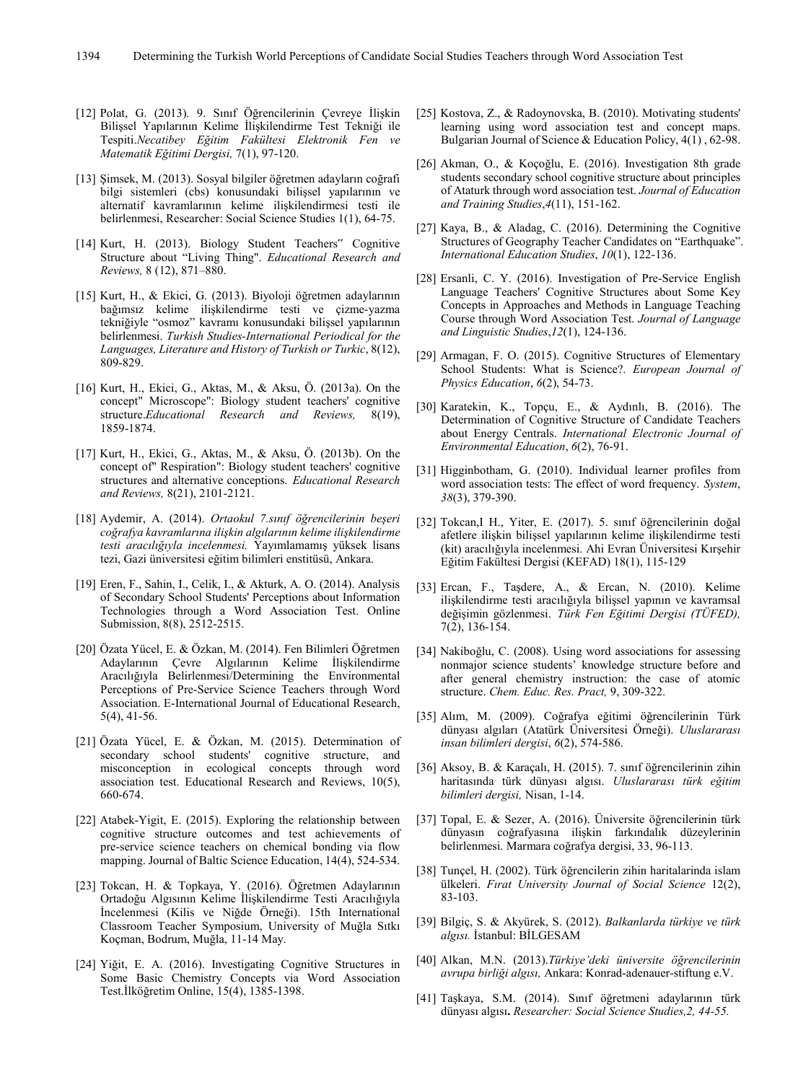- [12] Polat, G. (2013). 9. Sınıf Öğrencilerinin Çevreye İlişkin Bilişsel Yapılarının Kelime İlişkilendirme Test Tekniği ile Tespiti.*Necatibey Eğitim Fakültesi Elektronik Fen ve Matematik Eğitimi Dergisi,* 7(1), 97-120.
- [13] Şimsek, M. (2013). Sosyal bilgiler öğretmen adayların coğrafi bilgi sistemleri (cbs) konusundaki bilişsel yapılarının ve alternatif kavramlarının kelime ilişkilendirmesi testi ile belirlenmesi, Researcher: Social Science Studies 1(1), 64-75.
- [14] Kurt, H. (2013). Biology Student Teachers" Cognitive Structure about "Living Thing". *Educational Research and Reviews,* 8 (12), 871–880.
- [15] Kurt, H., & Ekici, G. (2013). Biyoloji öğretmen adaylarının bağımsız kelime ilişkilendirme testi ve çizme-yazma tekniğiyle "osmoz" kavramı konusundaki bilişsel yapılarının belirlenmesi. *Turkish Studies-International Periodical for the Languages, Literature and History of Turkish or Turkic*, 8(12), 809-829.
- [16] Kurt, H., Ekici, G., Aktas, M., & Aksu, Ö. (2013a). On the concept" Microscope": Biology student teachers' cognitive structure.*Educational Research and Reviews,* 8(19), 1859-1874.
- [17] Kurt, H., Ekici, G., Aktas, M., & Aksu, Ö. (2013b). On the concept of" Respiration": Biology student teachers' cognitive structures and alternative conceptions. *Educational Research and Reviews,* 8(21), 2101-2121.
- [18] Aydemir, A. (2014). *Ortaokul 7.sınıf öğrencilerinin beşeri coğrafya kavramlarına ilişkin algılarının kelime ilişkilendirme testi aracılığıyla incelenmesi.* Yayımlamamış yüksek lisans tezi, Gazi üniversitesi eğitim bilimleri enstitüsü, Ankara.
- [19] Eren, F., Sahin, I., Celik, I., & Akturk, A. O. (2014). Analysis of Secondary School Students' Perceptions about Information Technologies through a Word Association Test. Online Submission, 8(8), 2512-2515.
- [20] Özata Yücel, E. & Özkan, M. (2014). Fen Bilimleri Öğretmen Adaylarının Çevre Algılarının Kelime İlişkilendirme Aracılığıyla Belirlenmesi/Determining the Environmental Perceptions of Pre-Service Science Teachers through Word Association. E-International Journal of Educational Research, 5(4), 41-56.
- [21] Özata Yücel, E. & Özkan, M. (2015). Determination of secondary school students' cognitive structure, and misconception in ecological concepts through word association test. Educational Research and Reviews, 10(5), 660-674.
- [22] Atabek-Yigit, E. (2015). Exploring the relationship between cognitive structure outcomes and test achievements of pre-service science teachers on chemical bonding via flow mapping. Journal of Baltic Science Education, 14(4), 524-534.
- [23] Tokcan, H. & Topkaya, Y. (2016). Öğretmen Adaylarının Ortadoğu Algısının Kelime İlişkilendirme Testi Aracılığıyla İncelenmesi (Kilis ve Niğde Örneği). 15th International Classroom Teacher Symposium, University of Muğla Sıtkı Koçman, Bodrum, Muğla, 11-14 May.
- [24] Yiğit, E. A. (2016). Investigating Cognitive Structures in Some Basic Chemistry Concepts via Word Association Test.İlköğretim Online, 15(4), 1385-1398.
- [25] Kostova, Z., & Radoynovska, B. (2010). Motivating students' learning using word association test and concept maps. Bulgarian Journal of Science & Education Policy, 4(1) , 62-98.
- [26] Akman, O., & Koçoğlu, E. (2016). Investigation 8th grade students secondary school cognitive structure about principles of Ataturk through word association test. *Journal of Education and Training Studies*,*4*(11), 151-162.
- [27] Kaya, B., & Aladag, C. (2016). Determining the Cognitive Structures of Geography Teacher Candidates on "Earthquake". *International Education Studies*, *10*(1), 122-136.
- [28] Ersanli, C. Y. (2016). Investigation of Pre-Service English Language Teachers' Cognitive Structures about Some Key Concepts in Approaches and Methods in Language Teaching Course through Word Association Test. *Journal of Language and Linguistic Studies*,*12*(1), 124-136.
- [29] Armagan, F. O. (2015). Cognitive Structures of Elementary School Students: What is Science?. *European Journal of Physics Education*, *6*(2), 54-73.
- [30] Karatekin, K., Topçu, E., & Aydınlı, B. (2016). The Determination of Cognitive Structure of Candidate Teachers about Energy Centrals. *International Electronic Journal of Environmental Education*, *6*(2), 76-91.
- [31] Higginbotham, G. (2010). Individual learner profiles from word association tests: The effect of word frequency. *System*, *38*(3), 379-390.
- [32] Tokcan,I H., Yiter, E. (2017). 5. sınıf öğrencilerinin doğal afetlere ilişkin bilişsel yapılarının kelime ilişkilendirme testi (kit) aracılığıyla incelenmesi. Ahi Evran Üniversitesi Kırşehir Eğitim Fakültesi Dergisi (KEFAD) 18(1), 115-129
- [33] Ercan, F., Taşdere, A., & Ercan, N. (2010). Kelime ilişkilendirme testi aracılığıyla bilişsel yapının ve kavramsal değişimin gözlenmesi. *Türk Fen Eğitimi Dergisi (TÜFED),* 7(2), 136-154.
- [34] Nakiboğlu, C. (2008). Using word associations for assessing nonmajor science students' knowledge structure before and after general chemistry instruction: the case of atomic structure. *Chem. Educ. Res. Pract,* 9, 309-322.
- [35] Alım, M. (2009). Coğrafya eğitimi öğrencilerinin Türk dünyası algıları (Atatürk Üniversitesi Örneği). *Uluslararası insan bilimleri dergisi*, *6*(2), 574-586.
- [36] Aksoy, B. & Karaçalı, H. (2015). 7. sınıf öğrencilerinin zihin haritasında türk dünyası algısı. *Uluslararası türk eğitim bilimleri dergisi,* Nisan, 1-14.
- [37] Topal, E. & Sezer, A. (2016). Üniversite öğrencilerinin türk dünyasın coğrafyasına ilişkin farkındalık düzeylerinin belirlenmesi. Marmara coğrafya dergisi, 33, 96-113.
- [38] Tunçel, H. (2002). Türk öğrencilerin zihin haritalarinda islam ülkeleri. *Fırat University Journal of Social Science* 12(2), 83-103.
- [39] Bilgiç, S. & Akyürek, S. (2012). *Balkanlarda türkiye ve türk algısı.* İstanbul: BİLGESAM
- [40] Alkan, M.N. (2013).*Türkiye'deki üniversite öğrencilerinin avrupa birliği algısı,* Ankara: Konrad-adenauer-stiftung e.V.
- [41] Taşkaya, S.M. (2014). Sınıf öğretmeni adaylarının türk dünyası algısı**.** *Researcher: Social Science Studies,2, 44-55.*